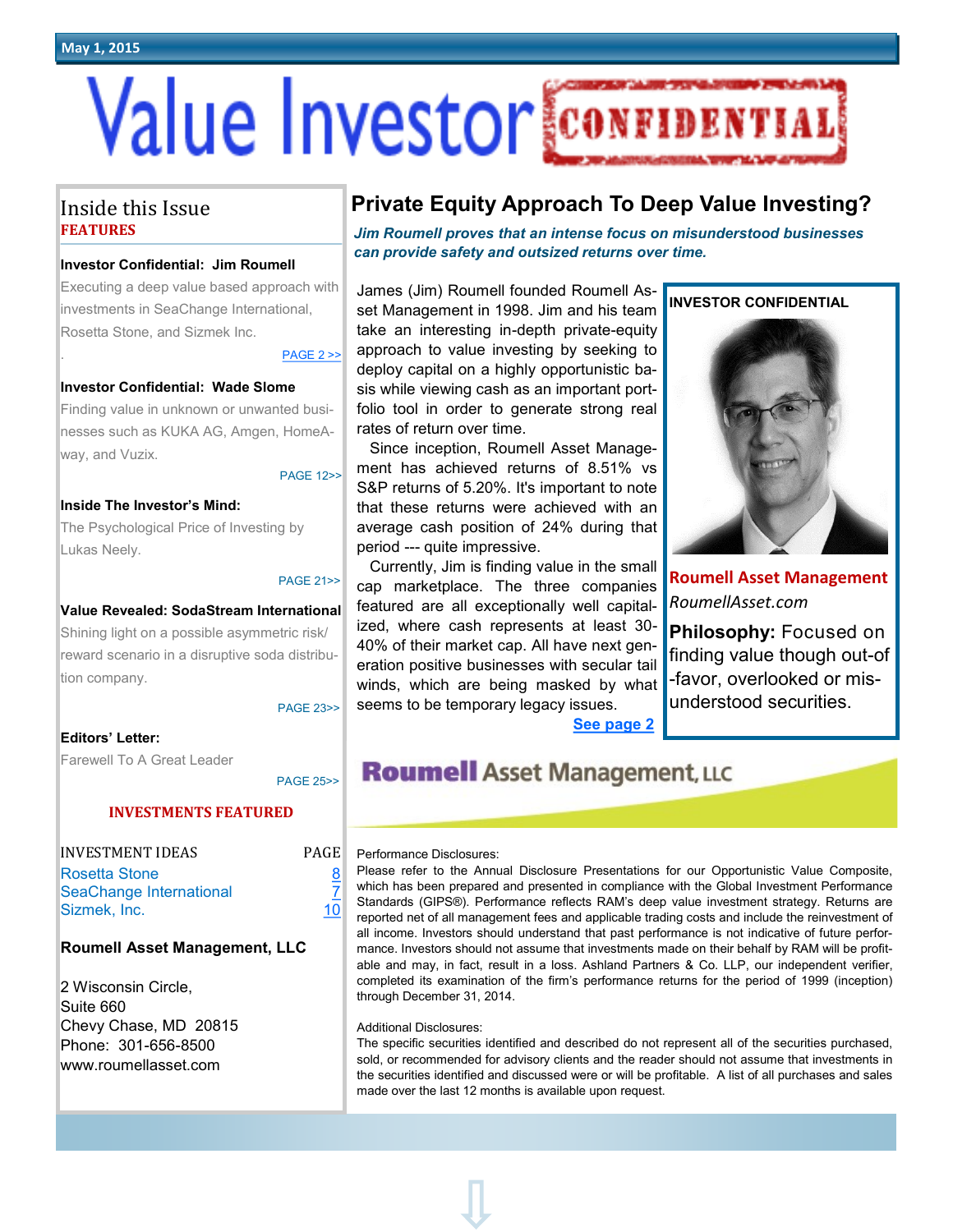**May 1, 2015**

# **Value Investor CONFI**

## Inside this Issue **FEATURES**

#### **Investor Confidential: Jim Roumell**

Executing a deep value based approach with investments in SeaChange International, Rosetta Stone, and Sizmek Inc.

 $PAGE 2 >$ 

#### **Investor Confidential: Wade Slome**

Finding value in unknown or unwanted businesses such as KUKA AG, Amgen, HomeAway, and Vuzix.

#### PAGE 12>>

#### **Inside The Investor's Mind:**

The Psychological Price of Investing by Lukas Neely.

#### PAGE 21>>

#### **Value Revealed: SodaStream International**

Shining light on a possible asymmetric risk/ reward scenario in a disruptive soda distribution company.

PAGE 23>>

**PAGE 25>>** 

#### **Editors' Letter:**

Farewell To A Great Leader

#### **INVESTMENTS FEATURED**

| <b>INVESTMENT IDEAS</b> | <b>PAGE</b> |
|-------------------------|-------------|
| Rosetta Stone           | 8           |
| SeaChange International |             |
| Sizmek, Inc.            | 10          |

#### **Roumell Asset Management, LLC**

2 Wisconsin Circle, Suite 660 Chevy Chase, MD 20815 Phone: 301-656-8500 www.roumellasset.com

## **Private Equity Approach To Deep Value Investing?**

*Jim Roumell proves that an intense focus on misunderstood businesses can provide safety and outsized returns over time.* 

James (Jim) Roumell founded Roumell Asset Management in 1998. Jim and his team take an interesting in-depth private-equity approach to value investing by seeking to deploy capital on a highly opportunistic basis while viewing cash as an important portfolio tool in order to generate strong real rates of return over time.

 Since inception, Roumell Asset Management has achieved returns of 8.51% vs S&P returns of 5.20%. It's important to note that these returns were achieved with an average cash position of 24% during that period --- quite impressive.

 Currently, Jim is finding value in the small cap marketplace. The three companies featured are all exceptionally well capitalized, where cash represents at least 30- 40% of their market cap. All have next generation positive businesses with secular tail winds, which are being masked by what seems to be temporary legacy issues.

**INVESTOR CONFIDENTIAL**



**Roumell Asset Management** *RoumellAsset.com* 

**Philosophy:** Focused on finding value though out-of -favor, overlooked or misunderstood securities.

**[See page 2](#page-1-0)**

# **Roumell Asset Management, LLC**

#### Performance Disclosures:

Please refer to the Annual Disclosure Presentations for our Opportunistic Value Composite, which has been prepared and presented in compliance with the Global Investment Performance Standards (GIPS®). Performance reflects RAM's deep value investment strategy. Returns are reported net of all management fees and applicable trading costs and include the reinvestment of all income. Investors should understand that past performance is not indicative of future performance. Investors should not assume that investments made on their behalf by RAM will be profitable and may, in fact, result in a loss. Ashland Partners & Co. LLP, our independent verifier, completed its examination of the firm's performance returns for the period of 1999 (inception) through December 31, 2014.

#### Additional Disclosures:

The specific securities identified and described do not represent all of the securities purchased, sold, or recommended for advisory clients and the reader should not assume that investments in the securities identified and discussed were or will be profitable. A list of all purchases and sales made over the last 12 months is available upon request.

PAGE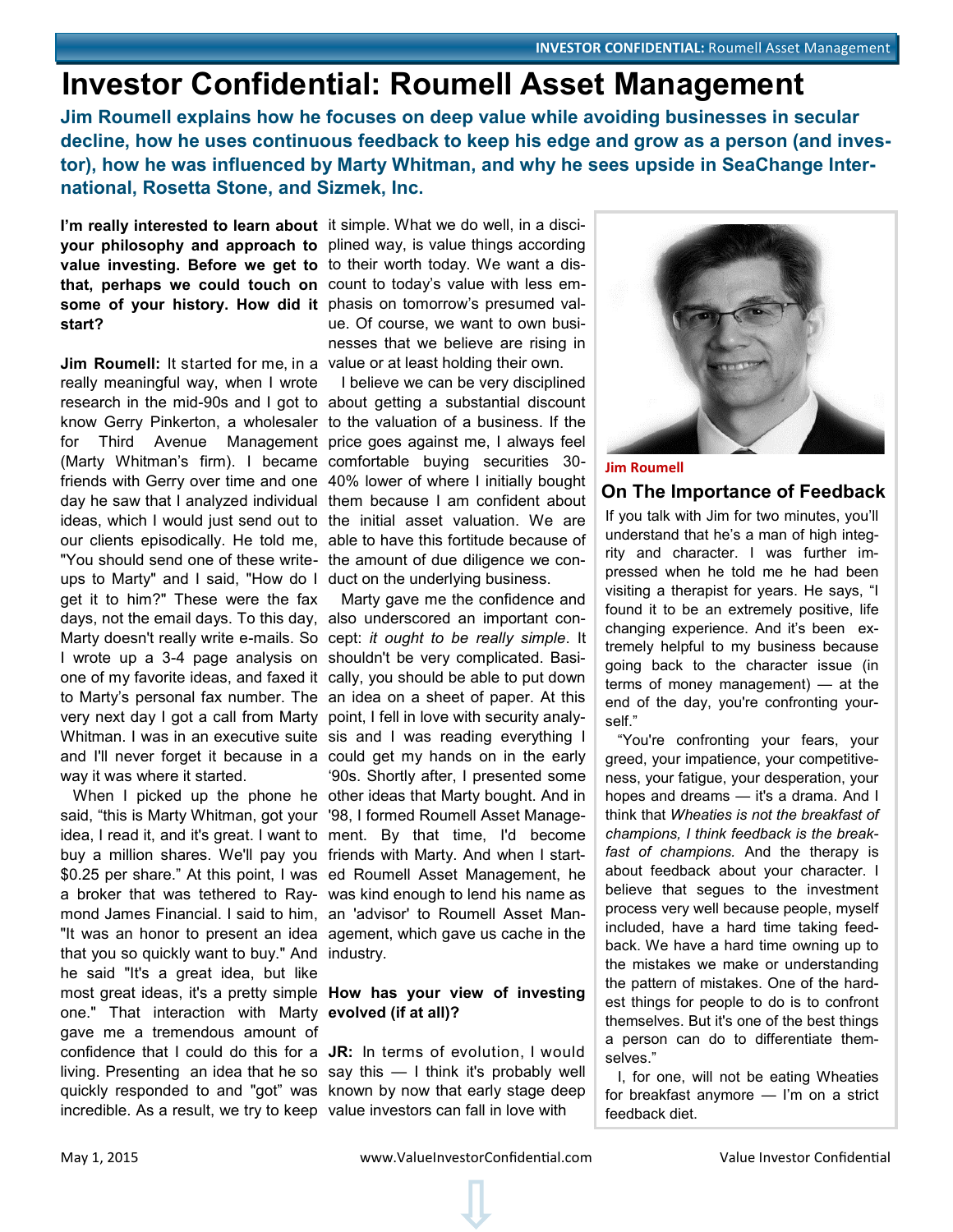# <span id="page-1-0"></span>**Investor Confidential: Roumell Asset Management**

**Jim Roumell explains how he focuses on deep value while avoiding businesses in secular decline, how he uses continuous feedback to keep his edge and grow as a person (and investor), how he was influenced by Marty Whitman, and why he sees upside in SeaChange International, Rosetta Stone, and Sizmek, Inc.**

I'm really interested to learn about it simple. What we do well, in a discivalue investing. Before we get to to their worth today. We want a dis**that, perhaps we could touch on**  count to today's value with less em**some of your history. How did it**  phasis on tomorrow's presumed val**start?** 

**Jim Roumell:** It started for me, in a value or at least holding their own. really meaningful way, when I wrote research in the mid-90s and I got to about getting a substantial discount know Gerry Pinkerton, a wholesaler to the valuation of a business. If the for Third Avenue Management price goes against me, I always feel (Marty Whitman's firm). I became comfortable buying securities 30 friends with Gerry over time and one 40% lower of where I initially bought day he saw that I analyzed individual them because I am confident about ideas, which I would just send out to the initial asset valuation. We are our clients episodically. He told me, able to have this fortitude because of "You should send one of these write-the amount of due diligence we conups to Marty" and I said, "How do I duct on the underlying business. get it to him?" These were the fax days, not the email days. To this day, also underscored an important con-Marty doesn't really write e-mails. So cept: *it ought to be really simple*. It I wrote up a 3-4 page analysis on shouldn't be very complicated. Basione of my favorite ideas, and faxed it cally, you should be able to put down to Marty's personal fax number. The an idea on a sheet of paper. At this very next day I got a call from Marty point, I fell in love with security analy-Whitman. I was in an executive suite sis and I was reading everything I and I'll never forget it because in a could get my hands on in the early way it was where it started.

 When I picked up the phone he other ideas that Marty bought. And in said, "this is Marty Whitman, got your '98, I formed Roumell Asset Manageidea, I read it, and it's great. I want to ment. By that time, I'd become buy a million shares. We'll pay you friends with Marty. And when I start-\$0.25 per share." At this point, I was ed Roumell Asset Management, he a broker that was tethered to Ray-was kind enough to lend his name as mond James Financial. I said to him, an 'advisor' to Roumell Asset Man-"It was an honor to present an idea agement, which gave us cache in the that you so quickly want to buy." And industry. he said "It's a great idea, but like most great ideas, it's a pretty simple **How has your view of investing**  one." That interaction with Marty **evolved (if at all)?** gave me a tremendous amount of confidence that I could do this for a **JR:** In terms of evolution, I would living. Presenting an idea that he so say this — I think it's probably well quickly responded to and "got" was known by now that early stage deep incredible. As a result, we try to keep value investors can fall in love with

**your philosophy and approach to**  plined way, is value things according ue. Of course, we want to own businesses that we believe are rising in

I believe we can be very disciplined

 Marty gave me the confidence and '90s. Shortly after, I presented some



**Jim Roumell On The Importance of Feedback**

If you talk with Jim for two minutes, you'll understand that he's a man of high integrity and character. I was further impressed when he told me he had been visiting a therapist for years. He says, "I found it to be an extremely positive, life changing experience. And it's been extremely helpful to my business because going back to the character issue (in terms of money management) — at the end of the day, you're confronting yourself."

 "You're confronting your fears, your greed, your impatience, your competitiveness, your fatigue, your desperation, your hopes and dreams — it's a drama. And I think that *Wheaties is not the breakfast of champions, I think feedback is the breakfast of champions.* And the therapy is about feedback about your character. I believe that segues to the investment process very well because people, myself included, have a hard time taking feedback. We have a hard time owning up to the mistakes we make or understanding the pattern of mistakes. One of the hardest things for people to do is to confront themselves. But it's one of the best things a person can do to differentiate themselves."

 I, for one, will not be eating Wheaties for breakfast anymore — I'm on a strict feedback diet.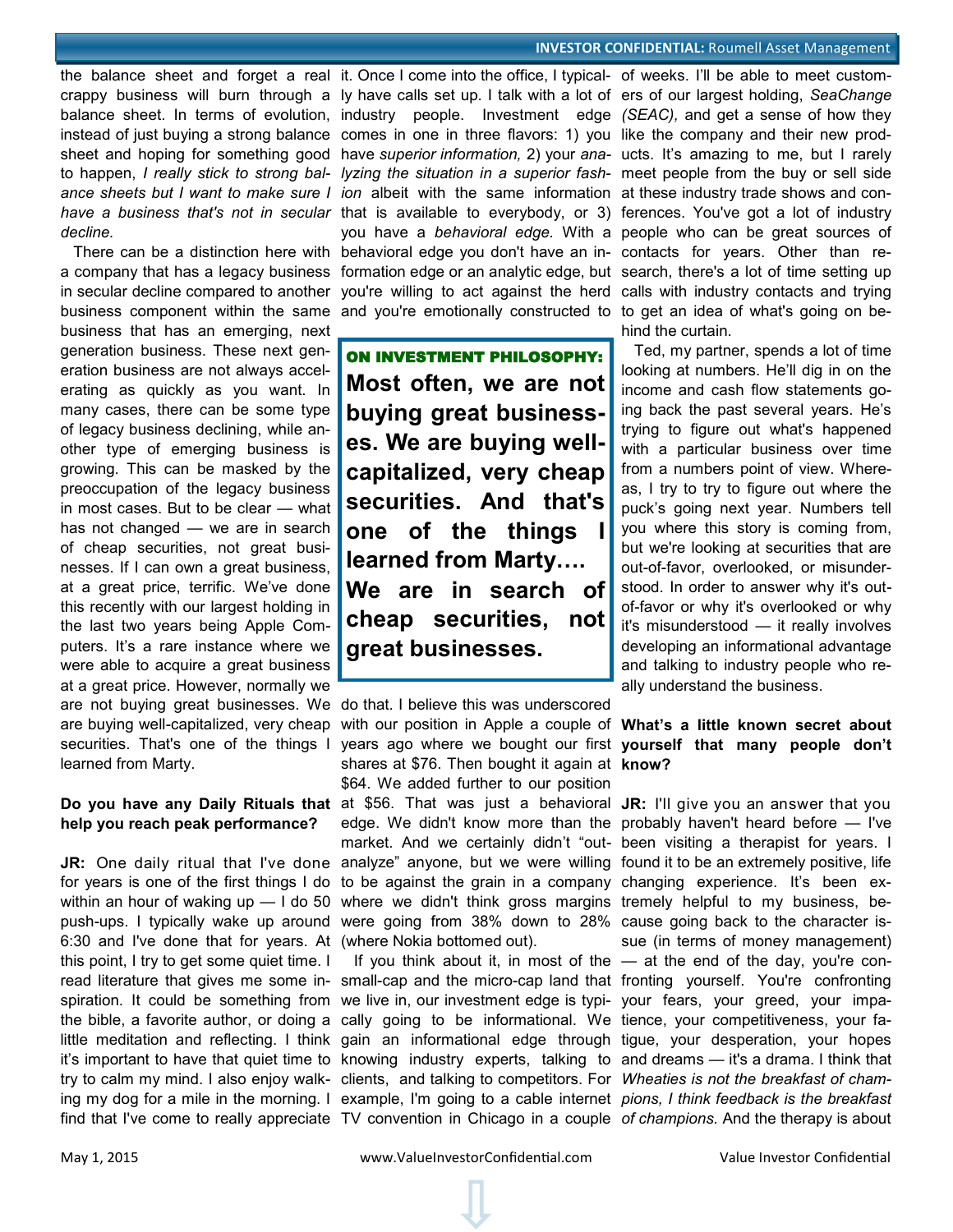the balance sheet and forget a real it. Once I come into the office, I typical- of weeks. I'll be able to meet customcrappy business will burn through a ly have calls set up. I talk with a lot of ers of our largest holding, *SeaChange*  balance sheet. In terms of evolution, industry people. Investment edge (SEAC), and get a sense of how they instead of just buying a strong balance comes in one in three flavors: 1) you like the company and their new prodsheet and hoping for something good have *superior information,* 2) your *ana-*ucts. It's amazing to me, but I rarely to happen, *I really stick to strong bal-lyzing the situation in a superior fash-*meet people from the buy or sell side ance sheets but I want to make sure I ion albeit with the same information at these industry trade shows and conhave a business that's not in secular that is available to everybody, or 3) ferences. You've got a lot of industry *decline.* 

in secular decline compared to another business component within the same business that has an emerging, next generation business. These next generation business are not always accelerating as quickly as you want. In many cases, there can be some type of legacy business declining, while another type of emerging business is growing. This can be masked by the preoccupation of the legacy business in most cases. But to be clear — what has not changed — we are in search of cheap securities, not great businesses. If I can own a great business, at a great price, terrific. We've done this recently with our largest holding in the last two years being Apple Computers. It's a rare instance where we were able to acquire a great business at a great price. However, normally we are buying well-capitalized, very cheap securities. That's one of the things I learned from Marty.

# **help you reach peak performance?**

6:30 and I've done that for years. At (where Nokia bottomed out). this point, I try to get some quiet time. I find that I've come to really appreciate TV convention in Chicago in a couple *of champions.* And the therapy is about

There can be a distinction here with behavioral edge you don't have an in-contacts for years. Other than re-

ON INVESTMENT PHILOSOPHY: **Most often, we are not buying great businesses. We are buying wellcapitalized, very cheap securities. And that's one of the things learned from Marty…. We are in search of cheap securities, not great businesses.**

are not buying great businesses. We do that. I believe this was underscored **Do you have any Daily Rituals that** at \$56. That was just a behavioral **JR:** I'll give you an answer that you JR: One daily ritual that I've done analyze" anyone, but we were willing found it to be an extremely positive, life for years is one of the first things I do to be against the grain in a company changing experience. It's been exwithin an hour of waking up — I do 50 where we didn't think gross margins tremely helpful to my business, bepush-ups. I typically wake up around were going from 38% down to 28% cause going back to the character iswith our position in Apple a couple of **What's a little known secret about**  years ago where we bought our first **yourself that many people don't**  shares at \$76. Then bought it again at **know?** \$64. We added further to our position edge. We didn't know more than the probably haven't heard before — I've market. And we certainly didn't "out-been visiting a therapist for years. I

read literature that gives me some in- small-cap and the micro-cap land that fronting yourself. You're confronting spiration. It could be something from we live in, our investment edge is typi-your fears, your greed, your impathe bible, a favorite author, or doing a cally going to be informational. We tience, your competitiveness, your falittle meditation and reflecting. I think gain an informational edge through tigue, your desperation, your hopes it's important to have that quiet time to knowing industry experts, talking to and dreams — it's a drama. I think that try to calm my mind. I also enjoy walk- clients, and talking to competitors. For *Wheaties is not the breakfast of cham*ing my dog for a mile in the morning. I example, I'm going to a cable internet *pions, I think feedback is the breakfast* If you think about it, in most of the — at the end of the day, you're con-

a company that has a legacy business formation edge or an analytic edge, but search, there's a lot of time setting up you have a *behavioral edge.* With a people who can be great sources of you're willing to act against the herd calls with industry contacts and trying and you're emotionally constructed to to get an idea of what's going on behind the curtain.

> Ted, my partner, spends a lot of time looking at numbers. He'll dig in on the income and cash flow statements going back the past several years. He's trying to figure out what's happened with a particular business over time from a numbers point of view. Whereas, I try to try to figure out where the puck's going next year. Numbers tell you where this story is coming from, but we're looking at securities that are out-of-favor, overlooked, or misunderstood. In order to answer why it's outof-favor or why it's overlooked or why it's misunderstood — it really involves developing an informational advantage and talking to industry people who really understand the business.

sue (in terms of money management)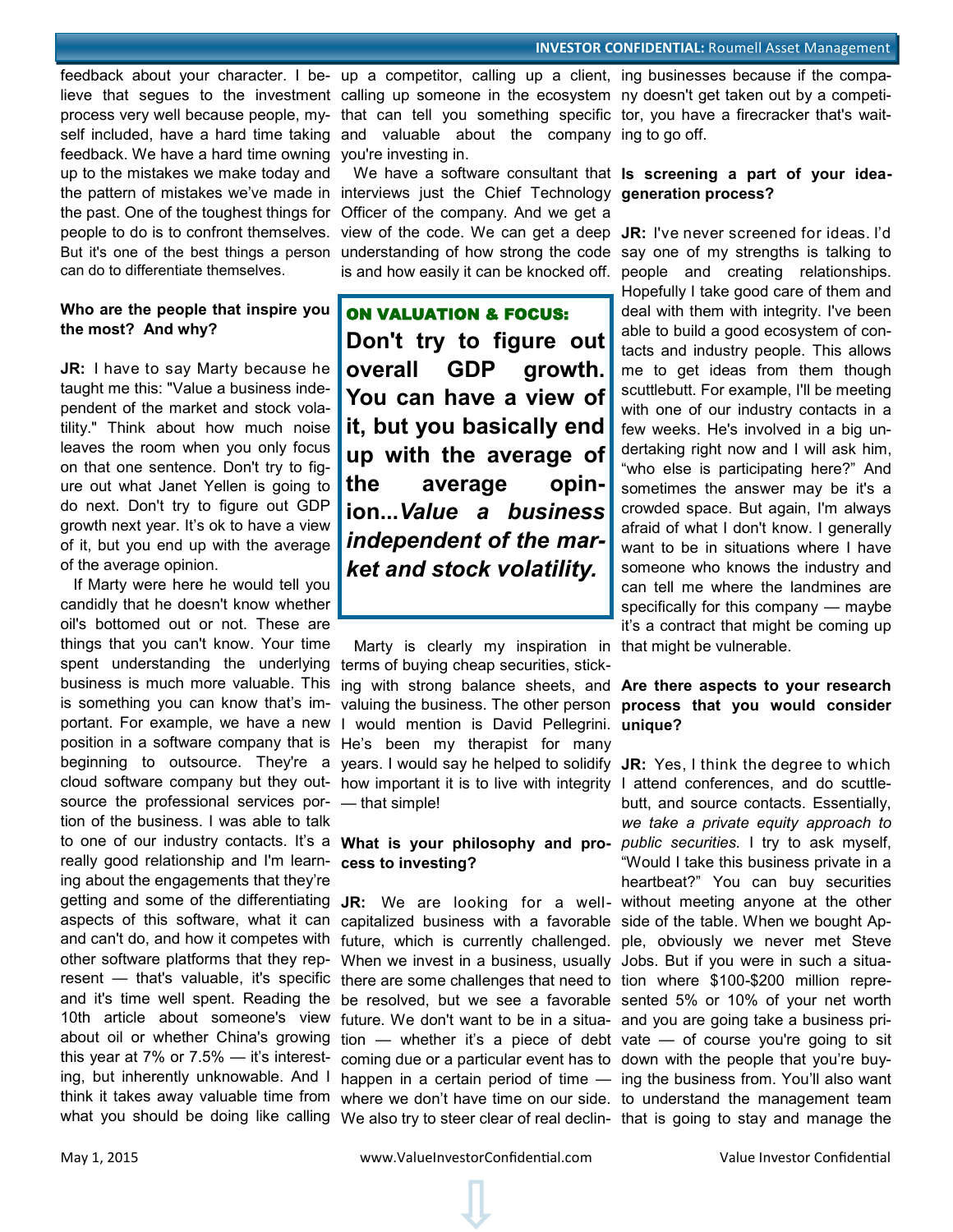feedback. We have a hard time owning you're investing in. up to the mistakes we make today and the pattern of mistakes we've made in interviews just the Chief Technology **generation process?** the past. One of the toughest things for Officer of the company. And we get a people to do is to confront themselves. view of the code. We can get a deep JR: I've never screened for ideas. I'd But it's one of the best things a person understanding of how strong the code say one of my strengths is talking to can do to differentiate themselves.

## **Who are the people that inspire you the most? And why?**

**JR:** I have to say Marty because he taught me this: "Value a business independent of the market and stock volatility." Think about how much noise leaves the room when you only focus on that one sentence. Don't try to figure out what Janet Yellen is going to do next. Don't try to figure out GDP growth next year. It's ok to have a view of it, but you end up with the average of the average opinion.

 If Marty were here he would tell you candidly that he doesn't know whether oil's bottomed out or not. These are things that you can't know. Your time spent understanding the underlying business is much more valuable. This is something you can know that's important. For example, we have a new position in a software company that is He's been my therapist for many source the professional services portion of the business. I was able to talk to one of our industry contacts. It's a **What is your philosophy and pro-***public securities.* I try to ask myself, really good relationship and I'm learn-**cess to investing?**  ing about the engagements that they're what you should be doing like calling We also try to steer clear of real declin- that is going to stay and manage the

lieve that segues to the investment calling up someone in the ecosystem ny doesn't get taken out by a competiprocess very well because people, my-that can tell you something specific tor, you have a firecracker that's waitself included, have a hard time taking and valuable about the company ing to go off.

We have a software consultant that **Is screening a part of your idea-**

ON VALUATION & FOCUS: **Don't try to figure out overall GDP growth. You can have a view of it, but you basically end up with the average of the average opinion...***Value a business independent of the market and stock volatility.*

beginning to outsource. They're a years. I would say he helped to solidify JR: Yes, I think the degree to which cloud software company but they out-how important it is to live with integrity I attend conferences, and do scuttle- Marty is clearly my inspiration in that might be vulnerable. terms of buying cheap securities, sticking with strong balance sheets, and **Are there aspects to your research**  valuing the business. The other person **process that you would consider**  I would mention is David Pellegrini. **unique?** — that simple!

getting and some of the differentiating **JR:** We are looking for a well-without meeting anyone at the other aspects of this software, what it can capitalized business with a favorable side of the table. When we bought Apand can't do, and how it competes with future, which is currently challenged. ple, obviously we never met Steve other software platforms that they rep- When we invest in a business, usually Jobs. But if you were in such a situaresent — that's valuable, it's specific there are some challenges that need to tion where \$100-\$200 million repreand it's time well spent. Reading the be resolved, but we see a favorable sented 5% or 10% of your net worth 10th article about someone's view future. We don't want to be in a situa- and you are going take a business priabout oil or whether China's growing tion — whether it's a piece of debt vate — of course you're going to sit this year at 7% or 7.5% — it's interest- coming due or a particular event has to down with the people that you're buying, but inherently unknowable. And I happen in a certain period of time — ing the business from. You'll also want think it takes away valuable time from where we don't have time on our side. to understand the management team

feedback about your character. I be- up a competitor, calling up a client, ing businesses because if the compa-

is and how easily it can be knocked off. people and creating relationships. Hopefully I take good care of them and deal with them with integrity. I've been able to build a good ecosystem of contacts and industry people. This allows me to get ideas from them though scuttlebutt. For example, I'll be meeting with one of our industry contacts in a few weeks. He's involved in a big undertaking right now and I will ask him, "who else is participating here?" And sometimes the answer may be it's a crowded space. But again, I'm always afraid of what I don't know. I generally want to be in situations where I have someone who knows the industry and can tell me where the landmines are specifically for this company — maybe it's a contract that might be coming up

butt, and source contacts. Essentially, *we take a private equity approach to*  "Would I take this business private in a heartbeat?" You can buy securities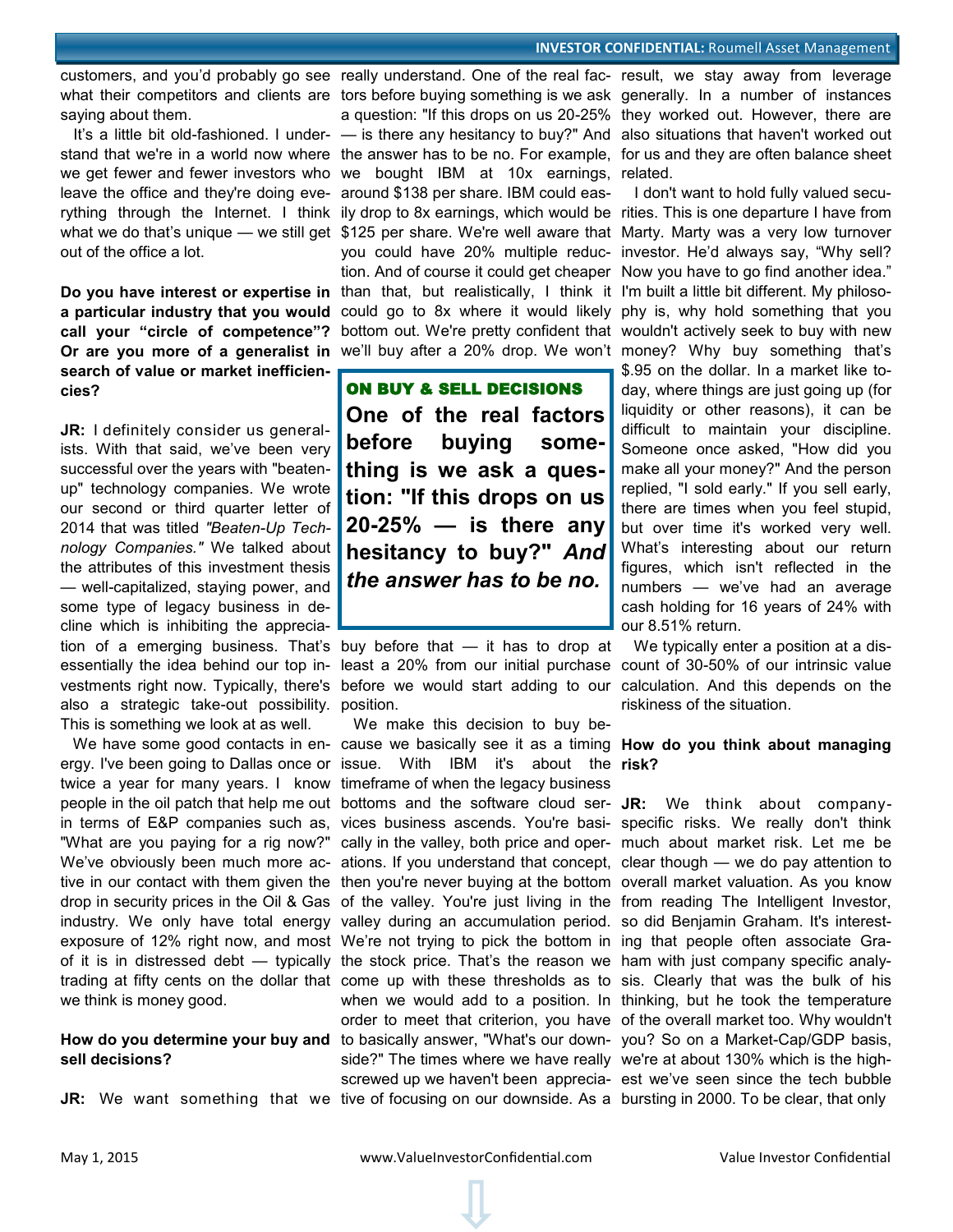saying about them.

leave the office and they're doing eve-around \$138 per share. IBM could easout of the office a lot.

Or are you more of a generalist in we'll buy after a 20% drop. We won't money? Why buy something that's **search of value or market inefficiencies?**

**JR:** I definitely consider us generalists. With that said, we've been very successful over the years with "beatenup" technology companies. We wrote our second or third quarter letter of 2014 that was titled *"Beaten-Up Technology Companies."* We talked about the attributes of this investment thesis — well-capitalized, staying power, and some type of legacy business in decline which is inhibiting the appreciaalso a strategic take-out possibility. position. This is something we look at as well.

we think is money good.

# **sell decisions?**

what their competitors and clients are tors before buying something is we ask generally. In a number of instances It's a little bit old-fashioned. I under- — is there any hesitancy to buy?" And also situations that haven't worked out stand that we're in a world now where the answer has to be no. For example, for us and they are often balance sheet we get fewer and fewer investors who we bought IBM at 10x earnings, related. rything through the Internet. I think ily drop to 8x earnings, which would be rities. This is one departure I have from what we do that's unique — we still get \$125 per share. We're well aware that Marty. Marty was a very low turnover Do you have interest or expertise in than that, but realistically, I think it I'm built a little bit different. My philosoa particular industry that you would could go to 8x where it would likely phy is, why hold something that you **call your "circle of competence"?**  bottom out. We're pretty confident that wouldn't actively seek to buy with new you could have 20% multiple reduc-investor. He'd always say, "Why sell? tion. And of course it could get cheaper Now you have to go find another idea."

> ON BUY & SELL DECISIONS **One of the real factors before buying something is we ask a question: "If this drops on us 20-25% — is there any hesitancy to buy?"** *And the answer has to be no.*

tion of a emerging business. That's buy before that — it has to drop at

We have some good contacts in en- cause we basically see it as a timing **How do you think about managing** ergy. I've been going to Dallas once or issue. With IBM it's about the risk? twice a year for many years. I know timeframe of when the legacy business people in the oil patch that help me out bottoms and the software cloud ser- JR: We think about companyin terms of E&P companies such as, vices business ascends. You're basi- specific risks. We really don't think "What are you paying for a rig now?" cally in the valley, both price and oper-much about market risk. Let me be We've obviously been much more ac- ations. If you understand that concept, clear though — we do pay attention to tive in our contact with them given the then you're never buying at the bottom overall market valuation. As you know drop in security prices in the Oil & Gas of the valley. You're just living in the from reading The Intelligent Investor, industry. We only have total energy valley during an accumulation period. so did Benjamin Graham. It's interestexposure of 12% right now, and most We're not trying to pick the bottom in ing that people often associate Graof it is in distressed debt — typically the stock price. That's the reason we ham with just company specific analytrading at fifty cents on the dollar that come up with these thresholds as to sis. Clearly that was the bulk of his How do you determine your buy and to basically answer, "What's our down- you? So on a Market-Cap/GDP basis, **JR:** We want something that we tive of focusing on our downside. As a bursting in 2000. To be clear, that only We make this decision to buy bewhen we would add to a position. In thinking, but he took the temperature order to meet that criterion, you have of the overall market too. Why wouldn't side?" The times where we have really we're at about 130% which is the highscrewed up we haven't been apprecia-est we've seen since the tech bubble

customers, and you'd probably go see really understand. One of the real fac- result, we stay away from leverage a question: "If this drops on us 20-25% they worked out. However, there are

> I don't want to hold fully valued secu-\$.95 on the dollar. In a market like today, where things are just going up (for liquidity or other reasons), it can be difficult to maintain your discipline. Someone once asked, "How did you make all your money?" And the person replied, "I sold early." If you sell early, there are times when you feel stupid, but over time it's worked very well. What's interesting about our return figures, which isn't reflected in the numbers — we've had an average cash holding for 16 years of 24% with our 8.51% return.

essentially the idea behind our top in- least a 20% from our initial purchase count of 30-50% of our intrinsic value vestments right now. Typically, there's before we would start adding to our calculation. And this depends on the We typically enter a position at a disriskiness of the situation.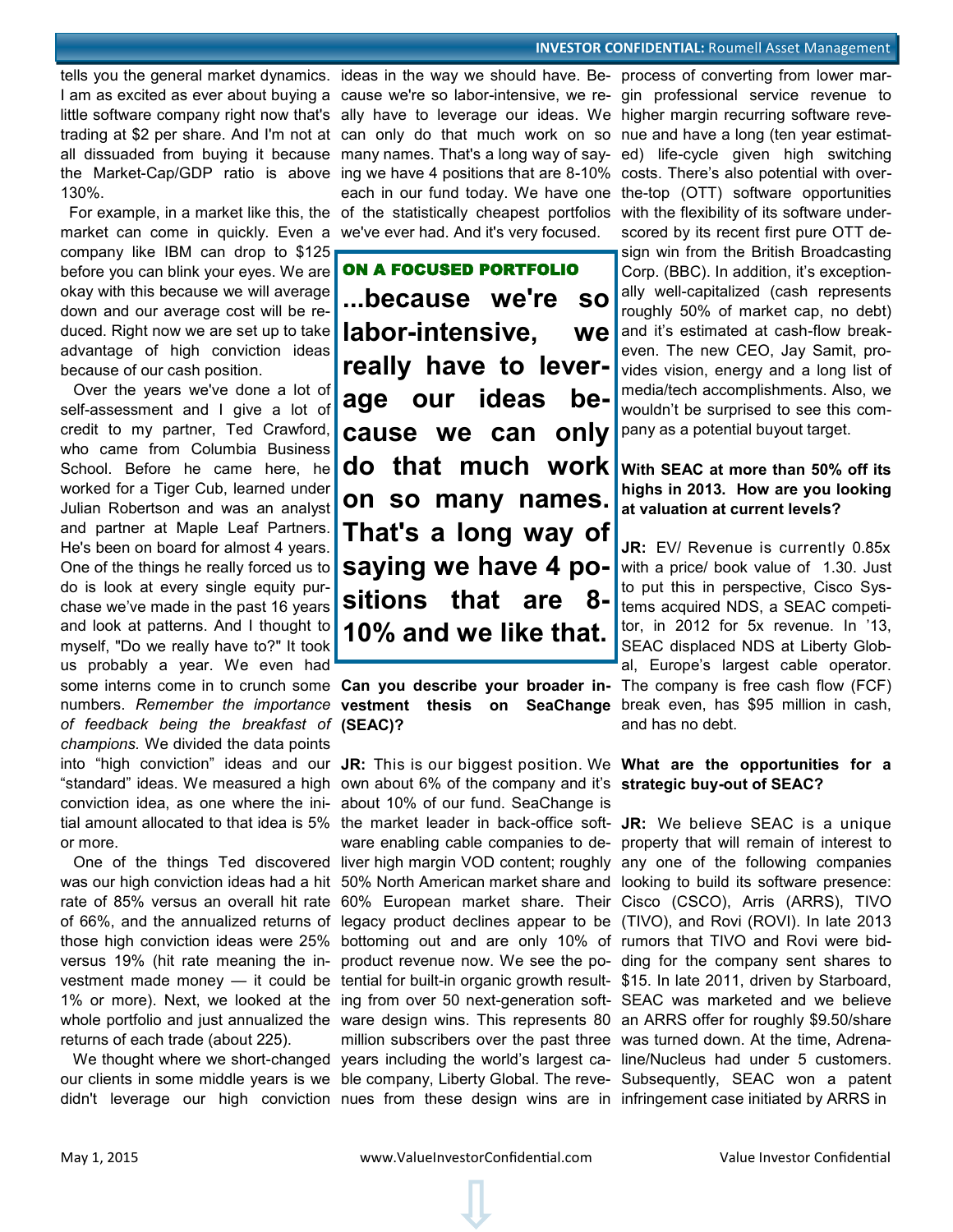#### **INVESTOR CONFIDENTIAL: Roumell Asset Management**

130%.

market can come in quickly. Even a company like IBM can drop to \$125 before you can blink your eyes. We are okay with this because we will average down and our average cost will be reduced. Right now we are set up to take advantage of high conviction ideas because of our cash position.

 Over the years we've done a lot of self-assessment and I give a lot of credit to my partner, Ted Crawford, who came from Columbia Business School. Before he came here, he worked for a Tiger Cub, learned under Julian Robertson and was an analyst and partner at Maple Leaf Partners. He's been on board for almost 4 years. One of the things he really forced us to do is look at every single equity purchase we've made in the past 16 years and look at patterns. And I thought to myself, "Do we really have to?" It took us probably a year. We even had numbers. *Remember the importance of feedback being the breakfast of*  **(SEAC)?** *champions.* We divided the data points into "high conviction" ideas and our **JR:** This is our biggest position. We **What are the opportunities for a**  "standard" ideas. We measured a high own about 6% of the company and it's **strategic buy-out of SEAC?** conviction idea, as one where the ini-about 10% of our fund. SeaChange is tial amount allocated to that idea is 5% or more.

was our high conviction ideas had a hit 50% North American market share and looking to build its software presence: rate of 85% versus an overall hit rate of 66%, and the annualized returns of those high conviction ideas were 25% versus 19% (hit rate meaning the investment made money — it could be tential for built-in organic growth result- \$15. In late 2011, driven by Starboard, 1% or more). Next, we looked at the ing from over 50 next-generation soft- SEAC was marketed and we believe whole portfolio and just annualized the ware design wins. This represents 80 an ARRS offer for roughly \$9.50/share returns of each trade (about 225).

 We thought where we short-changed years including the world's largest ca-line/Nucleus had under 5 customers. our clients in some middle years is we ble company, Liberty Global. The reve-Subsequently, SEAC won a patent didn't leverage our high conviction nues from these design wins are in infringement case initiated by ARRS in

tells you the general market dynamics. ideas in the way we should have. Be- process of converting from lower mar-I am as excited as ever about buying a cause we're so labor-intensive, we re- gin professional service revenue to little software company right now that's ally have to leverage our ideas. We higher margin recurring software revetrading at \$2 per share. And I'm not at can only do that much work on so nue and have a long (ten year estimatall dissuaded from buying it because many names. That's a long way of say-ed) life-cycle given high switching the Market-Cap/GDP ratio is above ing we have 4 positions that are 8-10% costs. There's also potential with over- For example, in a market like this, the of the statistically cheapest portfolios with the flexibility of its software undereach in our fund today. We have one the-top (OTT) software opportunities we've ever had. And it's very focused.

> ON A FOCUSED PORTFOLIO **...because we're so labor-intensive, we really have to leverage our ideas because we can only do that much work on so many names. That's a long way of saying we have 4 positions that are 8- 10% and we like that.**

some interns come in to crunch some **Can you describe your broader in-**The company is free cash flow (FCF) **vestment thesis on SeaChange**  break even, has \$95 million in cash,

 One of the things Ted discovered liver high margin VOD content; roughly any one of the following companies the market leader in back-office soft-**JR:** We believe SEAC is a unique ware enabling cable companies to de-property that will remain of interest to 60% European market share. Their Cisco (CSCO), Arris (ARRS), TIVO legacy product declines appear to be (TIVO), and Rovi (ROVI). In late 2013 bottoming out and are only 10% of rumors that TIVO and Rovi were bidproduct revenue now. We see the po-ding for the company sent shares to million subscribers over the past three was turned down. At the time, Adrena-

scored by its recent first pure OTT design win from the British Broadcasting Corp. (BBC). In addition, it's exceptionally well-capitalized (cash represents roughly 50% of market cap, no debt) and it's estimated at cash-flow breakeven. The new CEO, Jay Samit, provides vision, energy and a long list of media/tech accomplishments. Also, we wouldn't be surprised to see this company as a potential buyout target.

## **With SEAC at more than 50% off its highs in 2013. How are you looking at valuation at current levels?**

**JR:** EV/ Revenue is currently 0.85x with a price/ book value of 1.30. Just to put this in perspective, Cisco Systems acquired NDS, a SEAC competitor, in 2012 for 5x revenue. In '13, SEAC displaced NDS at Liberty Global, Europe's largest cable operator. and has no debt.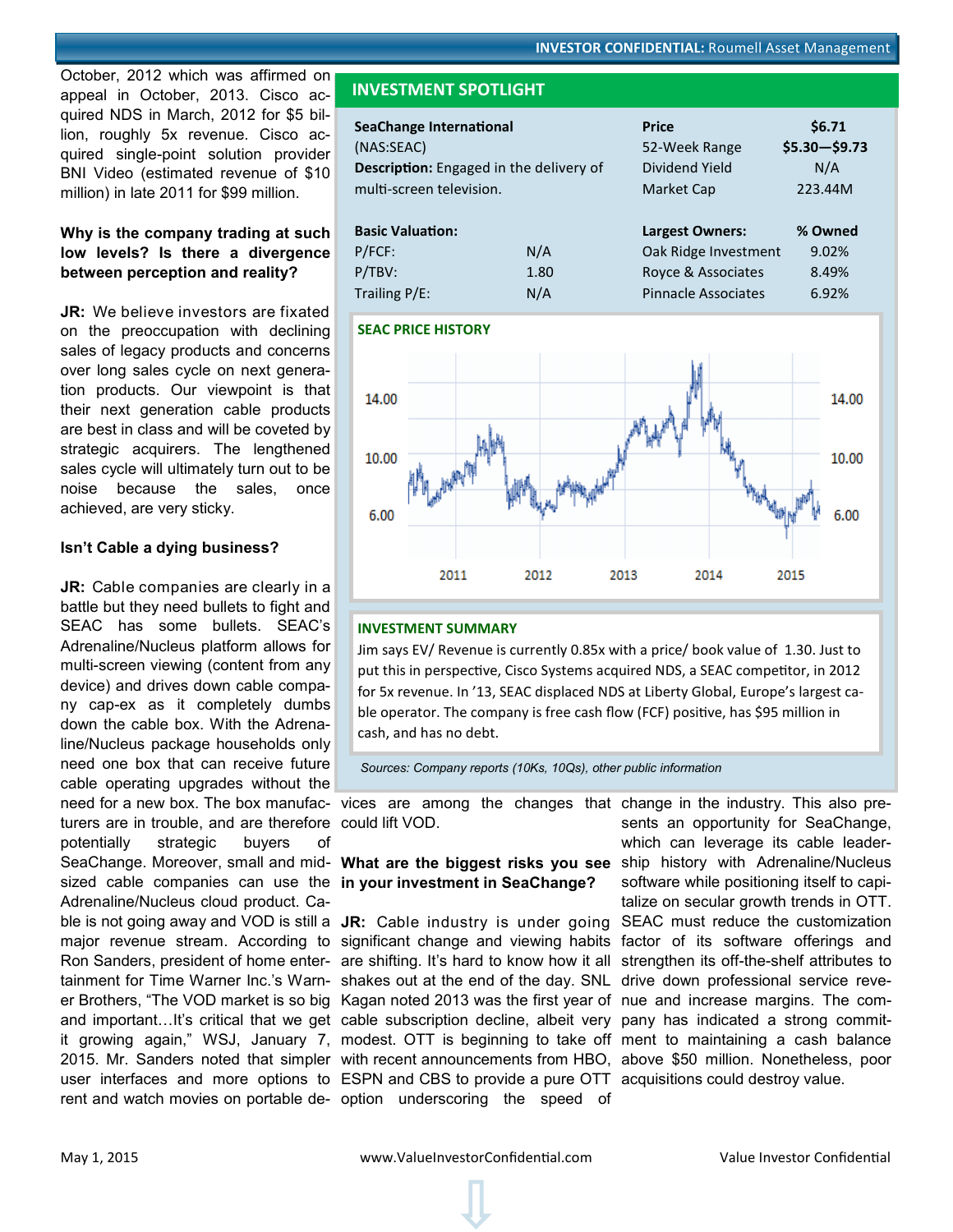<span id="page-6-0"></span>October, 2012 which was affirmed on appeal in October, 2013. Cisco acquired NDS in March, 2012 for \$5 billion, roughly 5x revenue. Cisco acquired single-point solution provider BNI Video (estimated revenue of \$10 million) in late 2011 for \$99 million.

## **Why is the company trading at such low levels? Is there a divergence between perception and reality?**

**JR:** We believe investors are fixated on the preoccupation with declining sales of legacy products and concerns over long sales cycle on next generation products. Our viewpoint is that their next generation cable products are best in class and will be coveted by strategic acquirers. The lengthened sales cycle will ultimately turn out to be noise because the sales, once achieved, are very sticky.

#### **Isn't Cable a dying business?**

**JR:** Cable companies are clearly in a battle but they need bullets to fight and SEAC has some bullets. SEAC's Adrenaline/Nucleus platform allows for multi-screen viewing (content from any device) and drives down cable company cap-ex as it completely dumbs down the cable box. With the Adrenaline/Nucleus package households only need one box that can receive future cable operating upgrades without the need for a new box. The box manufac-vices are among the changes that change in the industry. This also preturers are in trouble, and are therefore could lift VOD. potentially strategic buyers of SeaChange. Moreover, small and mid- What are the biggest risks you see ship history with Adrenaline/Nucleus sized cable companies can use the **in your investment in SeaChange?** Adrenaline/Nucleus cloud product. Ca-

## **INVESTMENT SPOTLIGHT**

| <b>SeaChange International</b><br>(NAS:SEAC)<br><b>Description:</b> Engaged in the delivery of<br>multi-screen television. |      | <b>Price</b><br>52-Week Range<br>Dividend Yield<br>Market Cap | \$6.71<br>$$5.30 - $9.73$<br>N/A<br>223.44M |
|----------------------------------------------------------------------------------------------------------------------------|------|---------------------------------------------------------------|---------------------------------------------|
| <b>Basic Valuation:</b>                                                                                                    |      | <b>Largest Owners:</b>                                        | % Owned                                     |
| $P/FCF$ :                                                                                                                  | N/A  | Oak Ridge Investment                                          | 9.02%                                       |
| P/TBV:                                                                                                                     | 1.80 | Royce & Associates                                            | 8.49%                                       |
| Trailing $P/E$ :                                                                                                           | N/A  | <b>Pinnacle Associates</b>                                    | 6.92%                                       |

#### **SEAC PRICE HISTORY**



#### **INVESTMENT SUMMARY**

Jim says EV/ Revenue is currently 0.85x with a price/ book value of 1.30. Just to put this in perspective, Cisco Systems acquired NDS, a SEAC competitor, in 2012 for 5x revenue. In '13, SEAC displaced NDS at Liberty Global, Europe's largest cable operator. The company is free cash flow (FCF) positive, has \$95 million in cash, and has no debt.

*Sources: Company reports (10Ks, 10Qs), other public information*

ble is not going away and VOD is still a JR: Cable industry is under going SEAC must reduce the customization major revenue stream. According to significant change and viewing habits factor of its software offerings and Ron Sanders, president of home enter- are shifting. It's hard to know how it all strengthen its off-the-shelf attributes to tainment for Time Warner Inc.'s Warn- shakes out at the end of the day. SNL drive down professional service reveer Brothers, "The VOD market is so big Kagan noted 2013 was the first year of nue and increase margins. The comand important…It's critical that we get cable subscription decline, albeit very pany has indicated a strong commitit growing again," WSJ, January 7, modest. OTT is beginning to take off ment to maintaining a cash balance 2015. Mr. Sanders noted that simpler with recent announcements from HBO, above \$50 million. Nonetheless, poor user interfaces and more options to ESPN and CBS to provide a pure OTT acquisitions could destroy value. rent and watch movies on portable de- option underscoring the speed of

sents an opportunity for SeaChange, which can leverage its cable leadersoftware while positioning itself to capitalize on secular growth trends in OTT.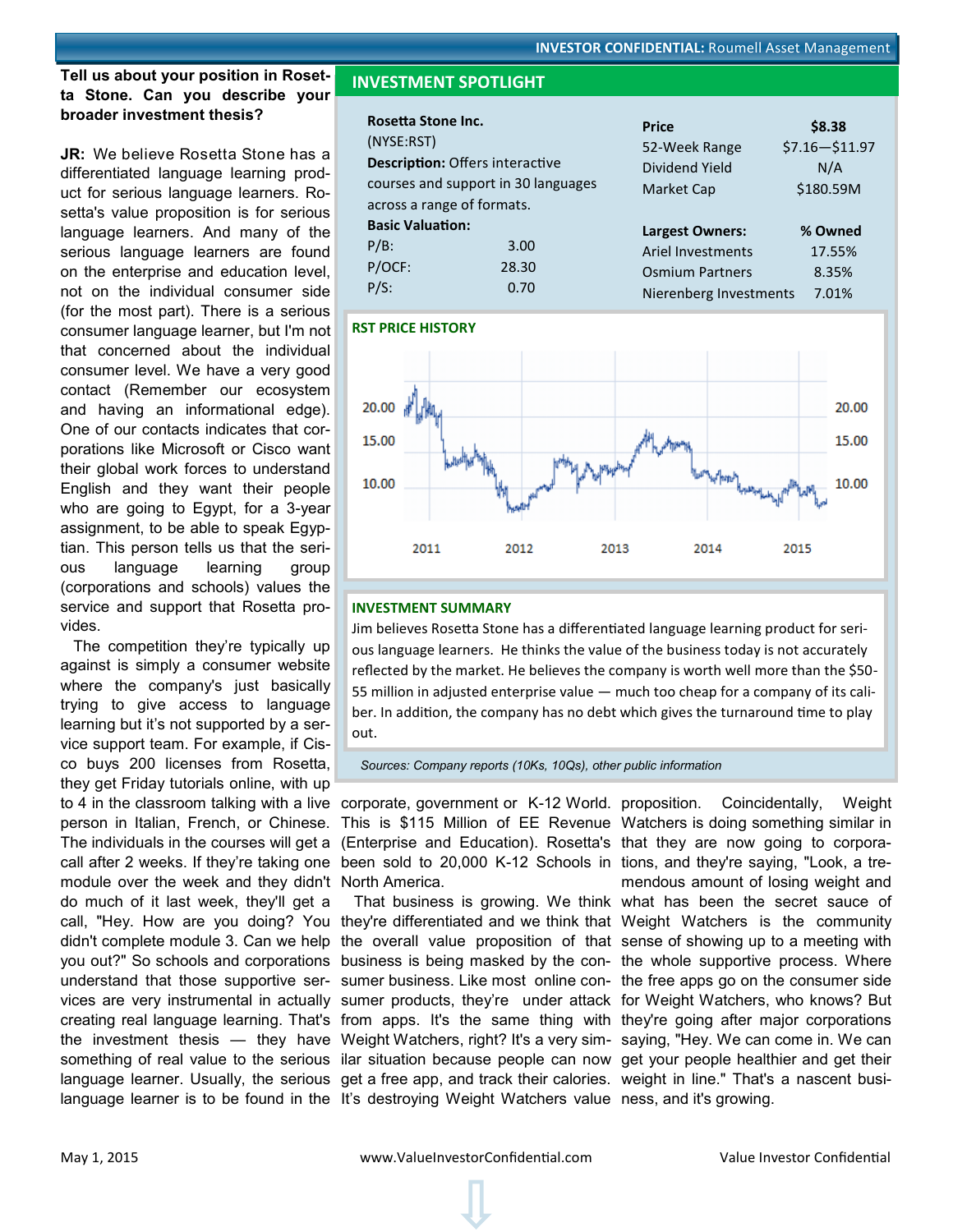#### <span id="page-7-0"></span>**Tell us about your position in Rosetta Stone. Can you describe your broader investment thesis?**

**JR:** We believe Rosetta Stone has a differentiated language learning product for serious language learners. Rosetta's value proposition is for serious language learners. And many of the serious language learners are found on the enterprise and education level, not on the individual consumer side (for the most part). There is a serious consumer language learner, but I'm not that concerned about the individual consumer level. We have a very good contact (Remember our ecosystem and having an informational edge). One of our contacts indicates that corporations like Microsoft or Cisco want their global work forces to understand English and they want their people who are going to Egypt, for a 3-year assignment, to be able to speak Egyptian. This person tells us that the serious language learning group (corporations and schools) values the service and support that Rosetta provides.

 The competition they're typically up against is simply a consumer website where the company's just basically trying to give access to language learning but it's not supported by a service support team. For example, if Cisco buys 200 licenses from Rosetta, they get Friday tutorials online, with up to 4 in the classroom talking with a live corporate, government or K-12 World. person in Italian, French, or Chinese. The individuals in the courses will get a (Enterprise and Education). Rosetta's that they are now going to corporacall after 2 weeks. If they're taking one been sold to 20,000 K-12 Schools in tions, and they're saying, "Look, a tremodule over the week and they didn't North America. do much of it last week, they'll get a call, "Hey. How are you doing? You they're differentiated and we think that Weight Watchers is the community didn't complete module 3. Can we help the overall value proposition of that sense of showing up to a meeting with you out?" So schools and corporations business is being masked by the con-the whole supportive process. Where understand that those supportive ser- sumer business. Like most online con- the free apps go on the consumer side vices are very instrumental in actually sumer products, they're under attack for Weight Watchers, who knows? But creating real language learning. That's from apps. It's the same thing with they're going after major corporations the investment thesis — they have Weight Watchers, right? It's a very sim- saying, "Hey. We can come in. We can something of real value to the serious ilar situation because people can now get your people healthier and get their language learner. Usually, the serious get a free app, and track their calories. weight in line." That's a nascent busilanguage learner is to be found in the It's destroying Weight Watchers value ness, and it's growing.

## **INVESTMENT SPOTLIGHT**

| Rosetta Stone Inc.         |                                        | <b>Price</b>             | \$8.38           |
|----------------------------|----------------------------------------|--------------------------|------------------|
| (NYSE:RST)                 |                                        | 52-Week Range            | $$7.16 - $11.97$ |
|                            | <b>Description: Offers interactive</b> | Dividend Yield           | N/A              |
|                            | courses and support in 30 languages    | Market Cap               | \$180.59M        |
| across a range of formats. |                                        |                          |                  |
| <b>Basic Valuation:</b>    |                                        | <b>Largest Owners:</b>   | % Owned          |
| $P/B$ :                    | 3.00                                   | <b>Ariel Investments</b> | 17.55%           |
| P/OCF:                     | 28.30                                  | <b>Osmium Partners</b>   | 8.35%            |
| $P/S$ :                    | 0.70                                   | Nierenberg Investments   | 7.01%            |

#### **RST PRICE HISTORY**



#### **INVESTMENT SUMMARY**

Jim believes Rosetta Stone has a differentiated language learning product for serious language learners. He thinks the value of the business today is not accurately reflected by the market. He believes the company is worth well more than the \$50- 55 million in adjusted enterprise value — much too cheap for a company of its caliber. In addition, the company has no debt which gives the turnaround time to play out.

*Sources: Company reports (10Ks, 10Qs), other public information*

This is \$115 Million of EE Revenue Watchers is doing something similar in That business is growing. We think what has been the secret sauce of Coincidentally, Weight mendous amount of losing weight and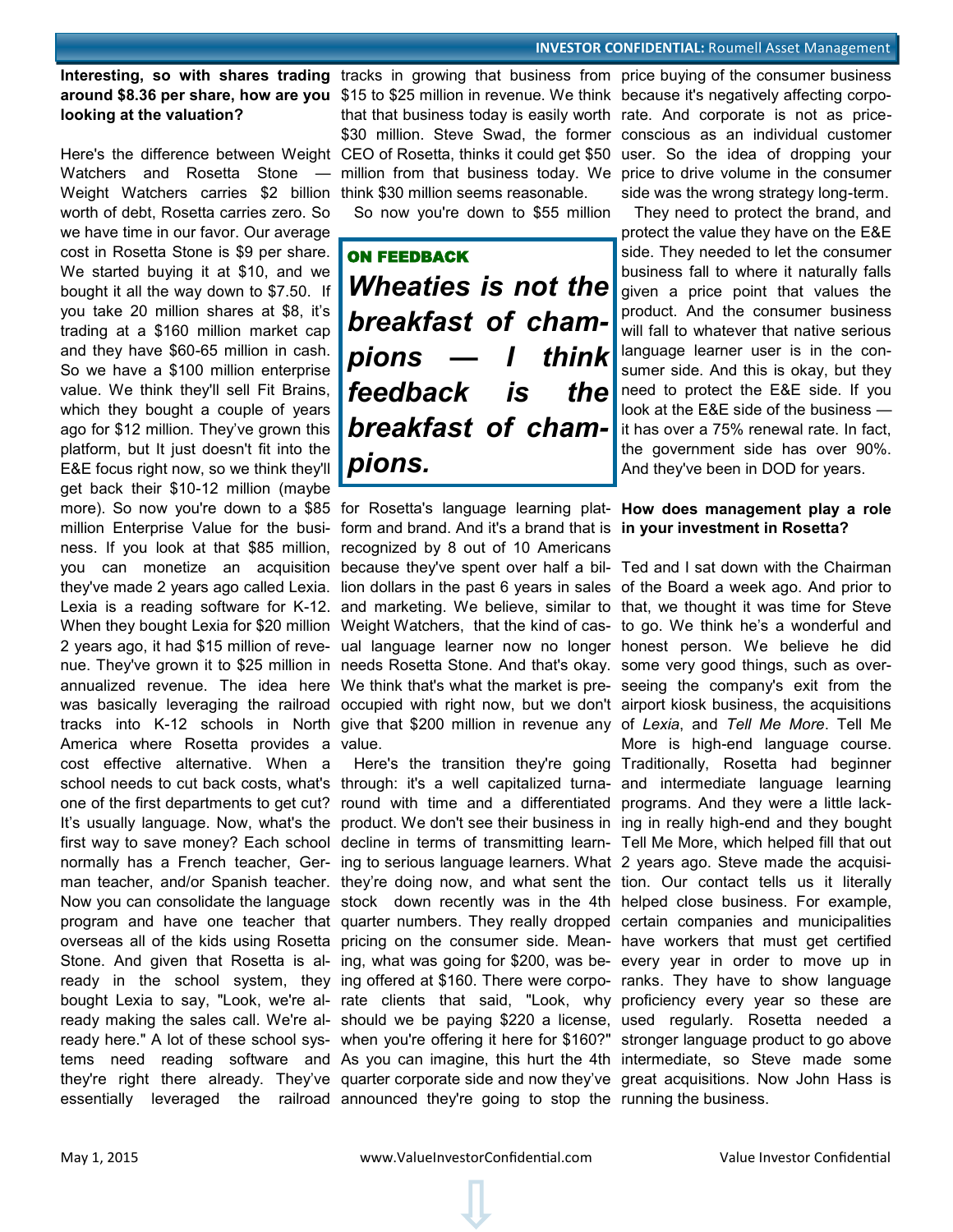#### **INVESTOR CONFIDENTIAL: Roumell Asset Management**

# **looking at the valuation?**

Watchers and Rosetta Stone — Weight Watchers carries \$2 billion think \$30 million seems reasonable. worth of debt, Rosetta carries zero. So we have time in our favor. Our average cost in Rosetta Stone is \$9 per share. We started buying it at \$10, and we bought it all the way down to \$7.50. If you take 20 million shares at \$8, it's trading at a \$160 million market cap and they have \$60-65 million in cash. So we have a \$100 million enterprise value. We think they'll sell Fit Brains, which they bought a couple of years ago for \$12 million. They've grown this platform, but It just doesn't fit into the E&E focus right now, so we think they'll get back their \$10-12 million (maybe more). So now you're down to a \$85 for Rosetta's language learning plat-**How does management play a role**  million Enterprise Value for the busi-form and brand. And it's a brand that is **in your investment in Rosetta?** ness. If you look at that \$85 million, recognized by 8 out of 10 Americans you can monetize an acquisition because they've spent over half a bil-Ted and I sat down with the Chairman they've made 2 years ago called Lexia. Iion dollars in the past 6 years in sales of the Board a week ago. And prior to Lexia is a reading software for K-12. and marketing. We believe, similar to that, we thought it was time for Steve When they bought Lexia for \$20 million Weight Watchers, that the kind of cas- to go. We think he's a wonderful and 2 years ago, it had \$15 million of reve- ual language learner now no longer honest person. We believe he did nue. They've grown it to \$25 million in needs Rosetta Stone. And that's okay. some very good things, such as overannualized revenue. The idea here We think that's what the market is pre-seeing the company's exit from the was basically leveraging the railroad occupied with right now, but we don't airport kiosk business, the acquisitions tracks into K-12 schools in North give that \$200 million in revenue any of Lexia, and Tell Me More. Tell Me America where Rosetta provides a value. cost effective alternative. When a school needs to cut back costs, what's through: it's a well capitalized turna- and intermediate language learning one of the first departments to get cut? round with time and a differentiated programs. And they were a little lack-It's usually language. Now, what's the product. We don't see their business in ing in really high-end and they bought first way to save money? Each school decline in terms of transmitting learn- Tell Me More, which helped fill that out normally has a French teacher, Ger-ing to serious language learners. What 2 years ago. Steve made the acquisiman teacher, and/or Spanish teacher. they're doing now, and what sent the tion. Our contact tells us it literally Now you can consolidate the language stock down recently was in the 4th helped close business. For example, program and have one teacher that quarter numbers. They really dropped certain companies and municipalities overseas all of the kids using Rosetta pricing on the consumer side. Mean-have workers that must get certified Stone. And given that Rosetta is al- ing, what was going for \$200, was be- every year in order to move up in ready in the school system, they ing offered at \$160. There were corpo- ranks. They have to show language bought Lexia to say, "Look, we're al- rate clients that said, "Look, why proficiency every year so these are ready making the sales call. We're al- should we be paying \$220 a license, used regularly. Rosetta needed a ready here." A lot of these school sys- when you're offering it here for \$160?" stronger language product to go above tems need reading software and As you can imagine, this hurt the 4th intermediate, so Steve made some they're right there already. They've quarter corporate side and now they've great acquisitions. Now John Hass is

around \$8.36 per share, how are you \$15 to \$25 million in revenue. We think because it's negatively affecting corpo-Here's the difference between Weight CEO of Rosetta, thinks it could get \$50 user. So the idea of dropping your that that business today is easily worth rate. And corporate is not as price-

So now you're down to \$55 million

ON FEEDBACK *Wheaties is not the breakfast of champions — I think feedback is the breakfast of champions.* 

essentially leveraged the railroad announced they're going to stop the running the business.

Interesting, so with shares trading tracks in growing that business from price buying of the consumer business \$30 million. Steve Swad, the former conscious as an individual customer million from that business today. We price to drive volume in the consumer side was the wrong strategy long-term.

> They need to protect the brand, and protect the value they have on the E&E side. They needed to let the consumer business fall to where it naturally falls given a price point that values the product. And the consumer business will fall to whatever that native serious language learner user is in the consumer side. And this is okay, but they need to protect the E&E side. If you look at the E&E side of the business it has over a 75% renewal rate. In fact, the government side has over 90%. And they've been in DOD for years.

 Here's the transition they're going Traditionally, Rosetta had beginner More is high-end language course.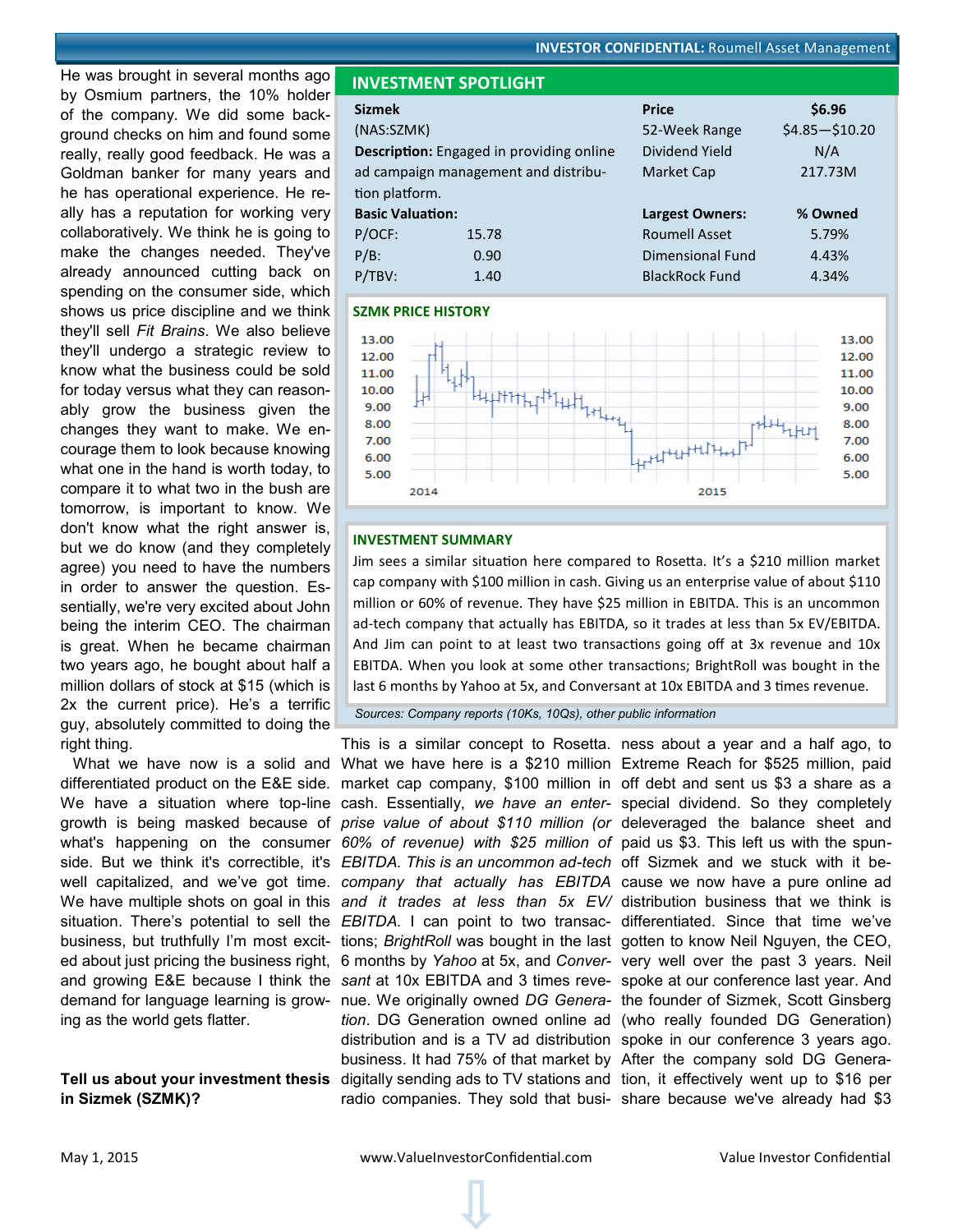<span id="page-9-0"></span>He was brought in several months ago by Osmium partners, the 10% holder of the company. We did some background checks on him and found some really, really good feedback. He was a Goldman banker for many years and he has operational experience. He really has a reputation for working very collaboratively. We think he is going to make the changes needed. They've already announced cutting back on spending on the consumer side, which shows us price discipline and we think they'll sell *Fit Brains*. We also believe they'll undergo a strategic review to know what the business could be sold for today versus what they can reasonably grow the business given the changes they want to make. We encourage them to look because knowing what one in the hand is worth today, to compare it to what two in the bush are tomorrow, is important to know. We don't know what the right answer is, but we do know (and they completely agree) you need to have the numbers in order to answer the question. Essentially, we're very excited about John being the interim CEO. The chairman is great. When he became chairman two years ago, he bought about half a million dollars of stock at \$15 (which is 2x the current price). He's a terrific guy, absolutely committed to doing the right thing.

 What we have now is a solid and What we have here is a \$210 million Extreme Reach for \$525 million, paid differentiated product on the E&E side. market cap company, \$100 million in off debt and sent us \$3 a share as a We have a situation where top-line cash. Essentially, *we have an enter-* special dividend. So they completely growth is being masked because of *prise value of about \$110 million (or*  deleveraged the balance sheet and what's happening on the consumer *60% of revenue) with \$25 million of*  paid us \$3. This left us with the spunside. But we think it's correctible, it's *EBITDA. This is an uncommon ad-tech*  off Sizmek and we stuck with it bewell capitalized, and we've got time. *company that actually has EBITDA*  cause we now have a pure online ad We have multiple shots on goal in this and it trades at less than 5x EV/ distribution business that we think is situation. There's potential to sell the *EBITDA*. I can point to two transac- differentiated. Since that time we've business, but truthfully I'm most excit- tions; *BrightRoll* was bought in the last gotten to know Neil Nguyen, the CEO, ed about just pricing the business right, 6 months by *Yahoo* at 5x, and *Conver-*very well over the past 3 years. Neil and growing E&E because I think the sant at 10x EBITDA and 3 times reve- spoke at our conference last year. And demand for language learning is grow-nue. We originally owned *DG Genera-*the founder of Sizmek, Scott Ginsberg ing as the world gets flatter.

# **in Sizmek (SZMK)?**



| <b>Sizmek</b>             |                                                 | <b>Price</b>           | \$6.96           |  |
|---------------------------|-------------------------------------------------|------------------------|------------------|--|
| (NAS:SZMK)                |                                                 | 52-Week Range          | $$4.85 - $10.20$ |  |
|                           | <b>Description:</b> Engaged in providing online | Dividend Yield         | N/A              |  |
|                           | ad campaign management and distribu-            | Market Cap             | 217.73M          |  |
| tion platform.            |                                                 |                        |                  |  |
| <b>Basic Valuation:</b>   |                                                 | <b>Largest Owners:</b> | % Owned          |  |
| P/OCF:                    | 15.78                                           | <b>Roumell Asset</b>   | 5.79%            |  |
| $P/B$ :                   | 0.90                                            | Dimensional Fund       | 4.43%            |  |
| P/TBV:                    | 1.40                                            | <b>BlackRock Fund</b>  | 4.34%            |  |
| <b>SZMK PRICE HISTORY</b> |                                                 |                        |                  |  |



#### **INVESTMENT SUMMARY**

 **INVESTMENT SPOTLIGHT**

Jim sees a similar situation here compared to Rosetta. It's a \$210 million market cap company with \$100 million in cash. Giving us an enterprise value of about \$110 million or 60% of revenue. They have \$25 million in EBITDA. This is an uncommon ad-tech company that actually has EBITDA, so it trades at less than 5x EV/EBITDA. And Jim can point to at least two transactions going off at 3x revenue and 10x EBITDA. When you look at some other transactions; BrightRoll was bought in the last 6 months by Yahoo at 5x, and Conversant at 10x EBITDA and 3 times revenue.

*Sources: Company reports (10Ks, 10Qs), other public information*

Tell us about your investment thesis digitally sending ads to TV stations and tion, it effectively went up to \$16 per business. It had 75% of that market by After the company sold DG Genera-

This is a similar concept to Rosetta. ness about a year and a half ago, to *tion*. DG Generation owned online ad (who really founded DG Generation) distribution and is a TV ad distribution spoke in our conference 3 years ago. radio companies. They sold that busi- share because we've already had \$3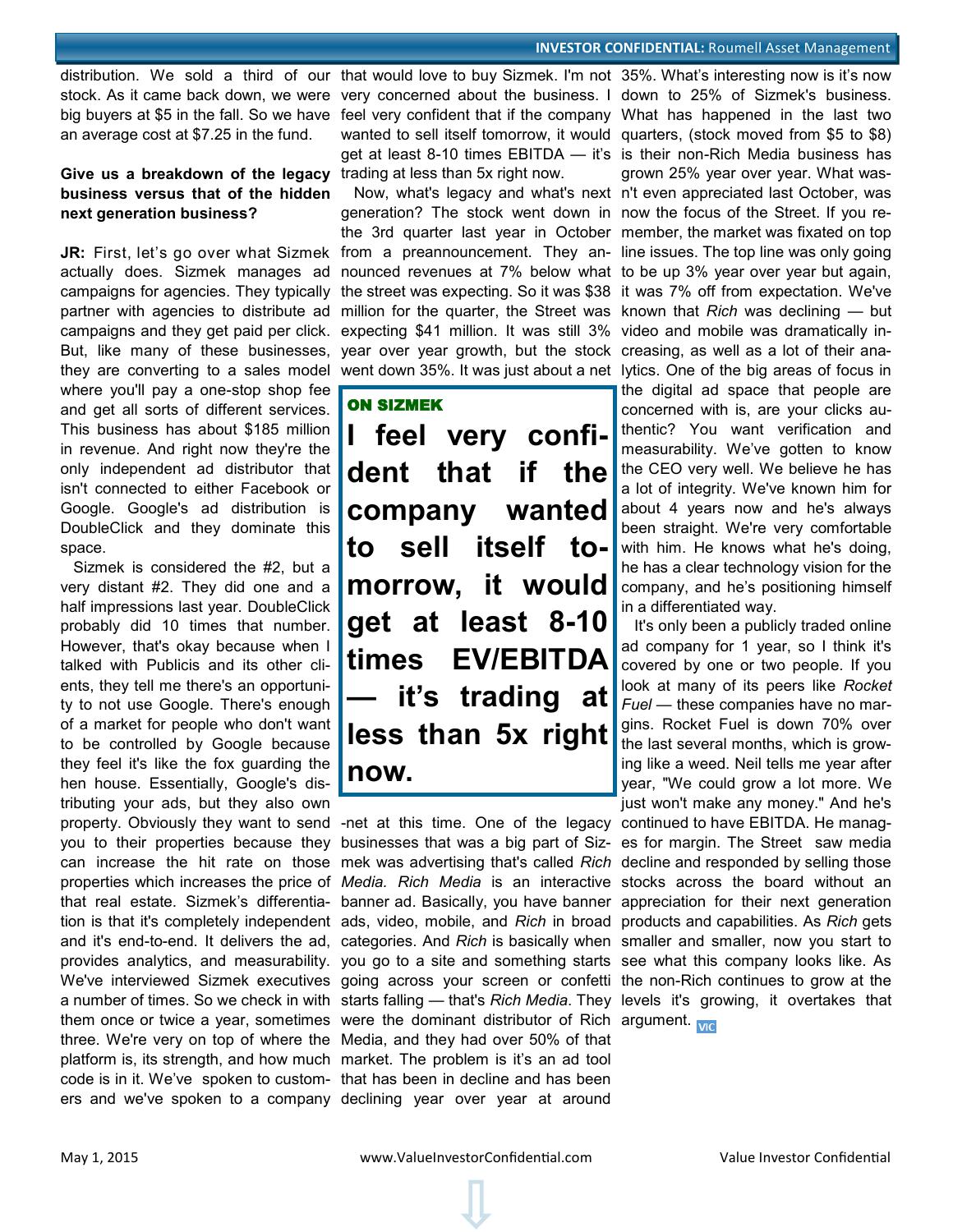stock. As it came back down, we were very concerned about the business. I down to 25% of Sizmek's business. big buyers at \$5 in the fall. So we have feel very confident that if the company What has happened in the last two an average cost at \$7.25 in the fund.

## Give us a breakdown of the legacy trading at less than 5x right now. **business versus that of the hidden next generation business?**

**JR:** First, let's go over what Sizmek actually does. Sizmek manages ad campaigns for agencies. They typically partner with agencies to distribute ad campaigns and they get paid per click. But, like many of these businesses, they are converting to a sales model where you'll pay a one-stop shop fee and get all sorts of different services. This business has about \$185 million in revenue. And right now they're the only independent ad distributor that isn't connected to either Facebook or Google. Google's ad distribution is DoubleClick and they dominate this space.

 Sizmek is considered the #2, but a very distant #2. They did one and a half impressions last year. DoubleClick probably did 10 times that number. However, that's okay because when I talked with Publicis and its other clients, they tell me there's an opportunity to not use Google. There's enough of a market for people who don't want to be controlled by Google because they feel it's like the fox guarding the hen house. Essentially, Google's distributing your ads, but they also own

property. Obviously they want to send -net at this time. One of the legacy continued to have EBITDA. He managyou to their properties because they businesses that was a big part of Siz- es for margin. The Street saw media can increase the hit rate on those mek was advertising that's called Rich decline and responded by selling those properties which increases the price of *Media. Rich Media* is an interactive stocks across the board without an that real estate. Sizmek's differentia- banner ad. Basically, you have banner appreciation for their next generation and it's end-to-end. It delivers the ad, categories. And *Rich* is basically when smaller and smaller, now you start to provides analytics, and measurability. you go to a site and something starts see what this company looks like. As We've interviewed Sizmek executives going across your screen or confetti the non-Rich continues to grow at the them once or twice a year, sometimes were the dominant distributor of Rich argument. three. We're very on top of where the Media, and they had over 50% of that platform is, its strength, and how much market. The problem is it's an ad tool code is in it. We've spoken to custom-that has been in decline and has been ers and we've spoken to a company declining year over year at around

 Now, what's legacy and what's next n't even appreciated last October, was generation? The stock went down in now the focus of the Street. If you rethe 3rd quarter last year in October member, the market was fixated on top from a preannouncement. They an-line issues. The top line was only going nounced revenues at 7% below what to be up 3% year over year but again, the street was expecting. So it was \$38 it was 7% off from expectation. We've million for the quarter, the Street was known that *Rich* was declining — but expecting \$41 million. It was still 3% video and mobile was dramatically inyear over year growth, but the stock creasing, as well as a lot of their anawent down 35%. It was just about a net lytics. One of the big areas of focus in

## ON SIZMEK

**I feel very confident that if the company wanted to sell itself tomorrow, it would get at least 8-10 times EV/EBITDA — it's trading at less than 5x right now.** 

distribution. We sold a third of our that would love to buy Sizmek. I'm not 35%. What's interesting now is it's now wanted to sell itself tomorrow, it would quarters, (stock moved from \$5 to \$8) get at least 8-10 times EBITDA — it's is their non-Rich Media business has grown 25% year over year. What was-

the digital ad space that people are concerned with is, are your clicks authentic? You want verification and measurability. We've gotten to know the CEO very well. We believe he has a lot of integrity. We've known him for about 4 years now and he's always been straight. We're very comfortable with him. He knows what he's doing, he has a clear technology vision for the company, and he's positioning himself in a differentiated way.

tion is that it's completely independent ads, video, mobile, and *Rich* in broad products and capabilities. As *Rich* gets a number of times. So we check in with starts falling — that's *Rich Media*. They levels it's growing, it overtakes that It's only been a publicly traded online ad company for 1 year, so I think it's covered by one or two people. If you look at many of its peers like *Rocket Fuel* — these companies have no margins. Rocket Fuel is down 70% over the last several months, which is growing like a weed. Neil tells me year after year, "We could grow a lot more. We just won't make any money." And he's